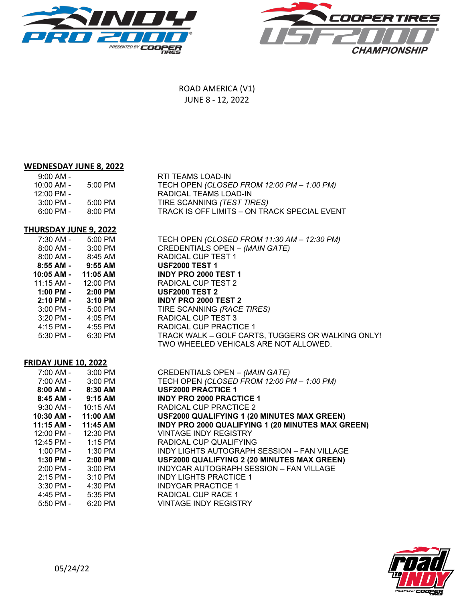



ROAD AMERICA (V1) JUNE 8 - 12, 2022

# **WEDNESDAY JUNE 8, 2022**

| $9:00$ AM -<br>10:00 AM -<br>$12:00$ PM -<br>$3:00$ PM -<br>$6:00 \, \text{PM}$ - | 5:00 PM<br>5:00 PM<br>8:00 PM | RTI TEAMS LOAD-IN<br>TECH OPEN (CLOSED FROM 12:00 PM - 1:00 PM)<br>RADICAL TEAMS LOAD-IN<br>TIRE SCANNING (TEST TIRES)<br>TRACK IS OFF LIMITS - ON TRACK SPECIAL EVENT |
|-----------------------------------------------------------------------------------|-------------------------------|------------------------------------------------------------------------------------------------------------------------------------------------------------------------|
|                                                                                   |                               |                                                                                                                                                                        |
|                                                                                   |                               |                                                                                                                                                                        |

## **THURSDAY JUNE 9, 2022**

| $7:30$ AM - | 5:00 PM   |
|-------------|-----------|
| $8:00$ AM - | 3:00 PM   |
| $8:00$ AM - | 8:45 AM   |
| 8:55 AM -   | $9:55$ AM |
| 10:05 AM -  | 11:05 AM  |
| 11:15 AM -  | 12:00 PM  |
| $1:00$ PM - | $2:00$ PM |
| $2:10$ PM - | $3:10$ PM |
| 3:00 PM -   | 5:00 PM   |
| 3:20 PM -   | 4:05 PM   |
| 4:15 PM -   | 4:55 PM   |
| 5:30 PM -   | 6:30 PM   |

7:30 AM - 5:00 PM TECH OPEN *(CLOSED FROM 11:30 AM ± 12:30 PM)* 8:00 AM - 3:00 PM CREDENTIALS OPEN ± *(MAIN GATE)* RADICAL CUP TEST 1 **8:55 AM - 9:55 AM USF2000 TEST 1 10:05 AM - 11:05 AM INDY PRO 2000 TEST 1** RADICAL CUP TEST 2 **1:00 PM - 2:00 PM USF2000 TEST 2 2:10 PM - 3:10 PM INDY PRO 2000 TEST 2** 3:00 PM - 5:00 PM TIRE SCANNING *(RACE TIRES)* RADICAL CUP TEST 3 RADICAL CUP PRACTICE 1 TRACK WALK - GOLF CARTS, TUGGERS OR WALKING ONLY! TWO WHEELED VEHICALS ARE NOT ALLOWED.

## **FRIDAY JUNE 10, 2022**

| 7:00 AM - 3:00 PM                    |          | CREDENTIALS OPEN - (MAIN GATE)                     |
|--------------------------------------|----------|----------------------------------------------------|
| 7:00 AM - 3:00 PM                    |          | TECH OPEN (CLOSED FROM 12:00 PM - 1:00 PM)         |
| $8:00$ AM - $8:30$ AM                |          | <b>USF2000 PRACTICE 1</b>                          |
| $8:45$ AM - $9:15$ AM                |          | <b>INDY PRO 2000 PRACTICE 1</b>                    |
| $9:30$ AM - $10:15$ AM               |          | RADICAL CUP PRACTICE 2                             |
| 10:30 AM -                           | 11:00 AM | USF2000 QUALIFYING 1 (20 MINUTES MAX GREEN)        |
| 11:15 AM -                           | 11:45 AM | INDY PRO 2000 QUALIFYING 1 (20 MINUTES MAX GREEN)  |
| 12:00 PM - 12:30 PM                  |          | <b>VINTAGE INDY REGISTRY</b>                       |
| $12:45 \text{ PM} - 1:15 \text{ PM}$ |          | RADICAL CUP QUALIFYING                             |
| $1:00 \text{ PM} - 1:30 \text{ PM}$  |          | INDY LIGHTS AUTOGRAPH SESSION - FAN VILLAGE        |
| $1:30$ PM - $2:00$ PM                |          | <b>USF2000 QUALIFYING 2 (20 MINUTES MAX GREEN)</b> |
| $2:00 \text{ PM} - 3:00 \text{ PM}$  |          | INDYCAR AUTOGRAPH SESSION - FAN VILLAGE            |
| 2:15 PM -                            | 3:10 PM  | <b>INDY LIGHTS PRACTICE 1</b>                      |
| $3:30 \text{ PM} - 4:30 \text{ PM}$  |          | <b>INDYCAR PRACTICE 1</b>                          |
| $4:45$ PM - $5:35$ PM                |          | <b>RADICAL CUP RACE 1</b>                          |
| $5:50$ PM -                          | 6:20 PM  | <b>VINTAGE INDY REGISTRY</b>                       |